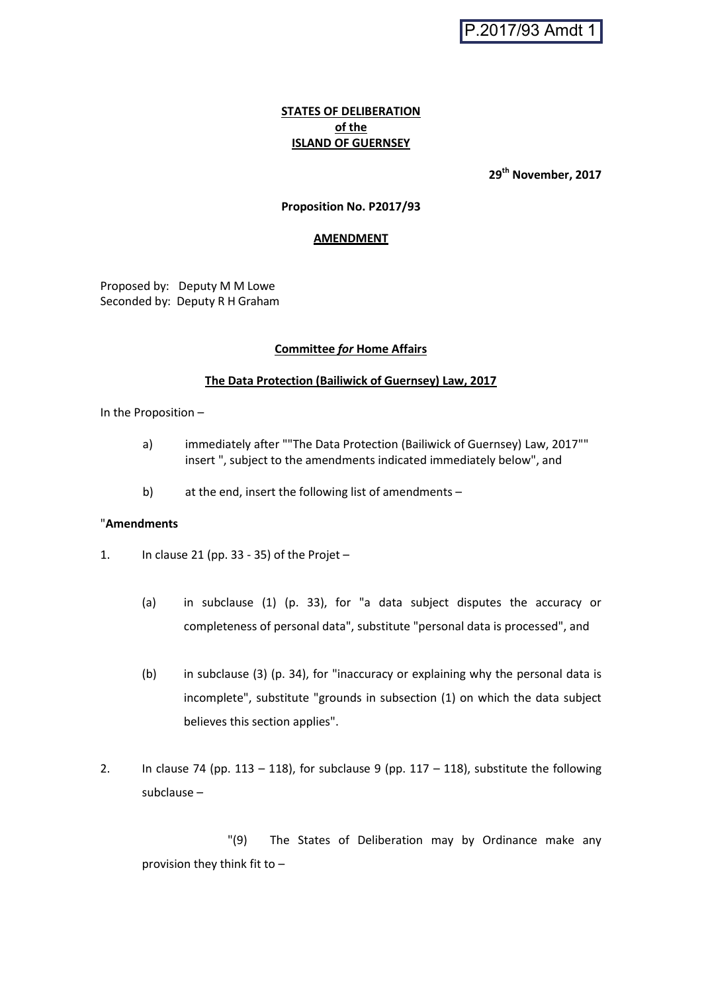## **STATES OF DELIBERATION of the ISLAND OF GUERNSEY**

**29th November, 2017**

### **Proposition No. P2017/93**

#### **AMENDMENT**

Proposed by: Deputy M M Lowe Seconded by: Deputy R H Graham

#### **Committee** *for* **Home Affairs**

#### **The Data Protection (Bailiwick of Guernsey) Law, 2017**

In the Proposition –

- a) immediately after ""The Data Protection (Bailiwick of Guernsey) Law, 2017"" insert ", subject to the amendments indicated immediately below", and
- b) at the end, insert the following list of amendments –

#### "**Amendments**

- 1. In clause 21 (pp. 33 35) of the Projet
	- (a) in subclause (1) (p. 33), for "a data subject disputes the accuracy or completeness of personal data", substitute "personal data is processed", and
	- (b) in subclause (3) (p. 34), for "inaccuracy or explaining why the personal data is incomplete", substitute "grounds in subsection (1) on which the data subject believes this section applies".
- 2. In clause 74 (pp. 113 118), for subclause 9 (pp. 117 118), substitute the following subclause –

"(9) The States of Deliberation may by Ordinance make any provision they think fit to –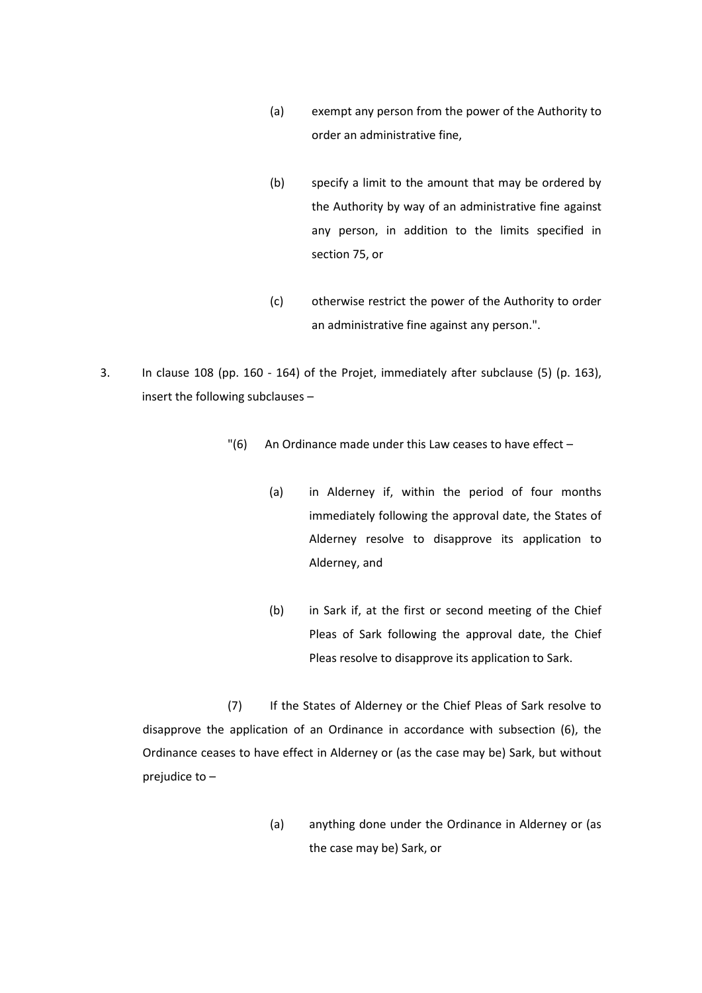- (a) exempt any person from the power of the Authority to order an administrative fine,
- (b) specify a limit to the amount that may be ordered by the Authority by way of an administrative fine against any person, in addition to the limits specified in section 75, or
- (c) otherwise restrict the power of the Authority to order an administrative fine against any person.".
- 3. In clause 108 (pp. 160 164) of the Projet, immediately after subclause (5) (p. 163), insert the following subclauses –
	- $"$ (6) An Ordinance made under this Law ceases to have effect
		- (a) in Alderney if, within the period of four months immediately following the approval date, the States of Alderney resolve to disapprove its application to Alderney, and
		- (b) in Sark if, at the first or second meeting of the Chief Pleas of Sark following the approval date, the Chief Pleas resolve to disapprove its application to Sark.

(7) If the States of Alderney or the Chief Pleas of Sark resolve to disapprove the application of an Ordinance in accordance with subsection (6), the Ordinance ceases to have effect in Alderney or (as the case may be) Sark, but without prejudice to –

> (a) anything done under the Ordinance in Alderney or (as the case may be) Sark, or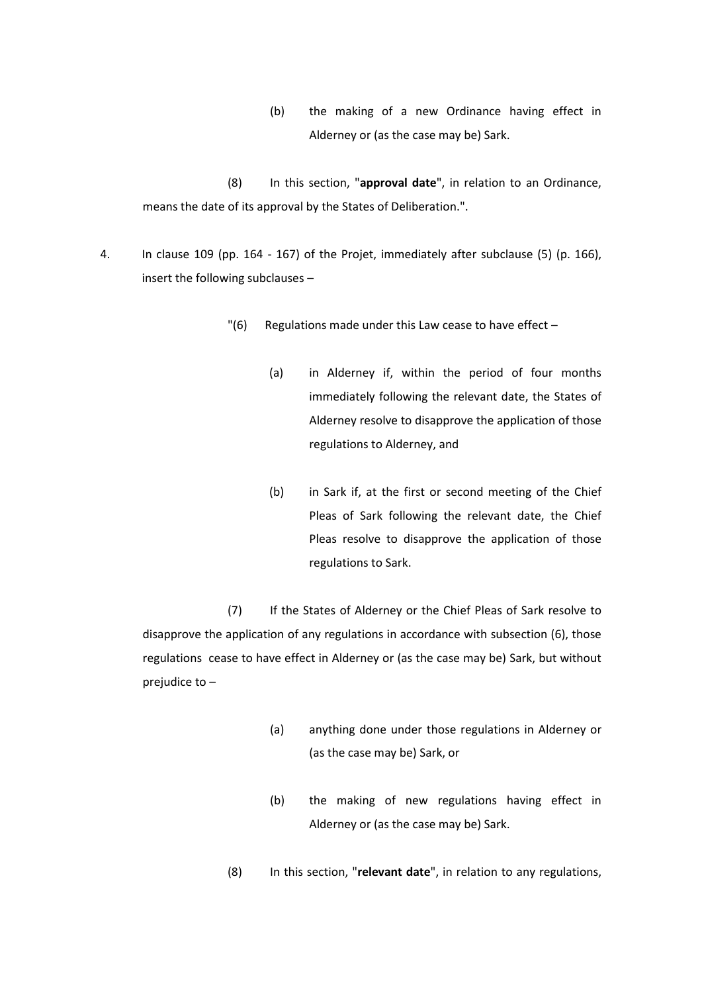(b) the making of a new Ordinance having effect in Alderney or (as the case may be) Sark.

(8) In this section, "**approval date**", in relation to an Ordinance, means the date of its approval by the States of Deliberation.".

- 4. In clause 109 (pp. 164 167) of the Projet, immediately after subclause (5) (p. 166), insert the following subclauses –
	- $"$ (6) Regulations made under this Law cease to have effect  $-$ 
		- (a) in Alderney if, within the period of four months immediately following the relevant date, the States of Alderney resolve to disapprove the application of those regulations to Alderney, and
		- (b) in Sark if, at the first or second meeting of the Chief Pleas of Sark following the relevant date, the Chief Pleas resolve to disapprove the application of those regulations to Sark.

(7) If the States of Alderney or the Chief Pleas of Sark resolve to disapprove the application of any regulations in accordance with subsection (6), those regulations cease to have effect in Alderney or (as the case may be) Sark, but without prejudice to –

- (a) anything done under those regulations in Alderney or (as the case may be) Sark, or
- (b) the making of new regulations having effect in Alderney or (as the case may be) Sark.
- (8) In this section, "**relevant date**", in relation to any regulations,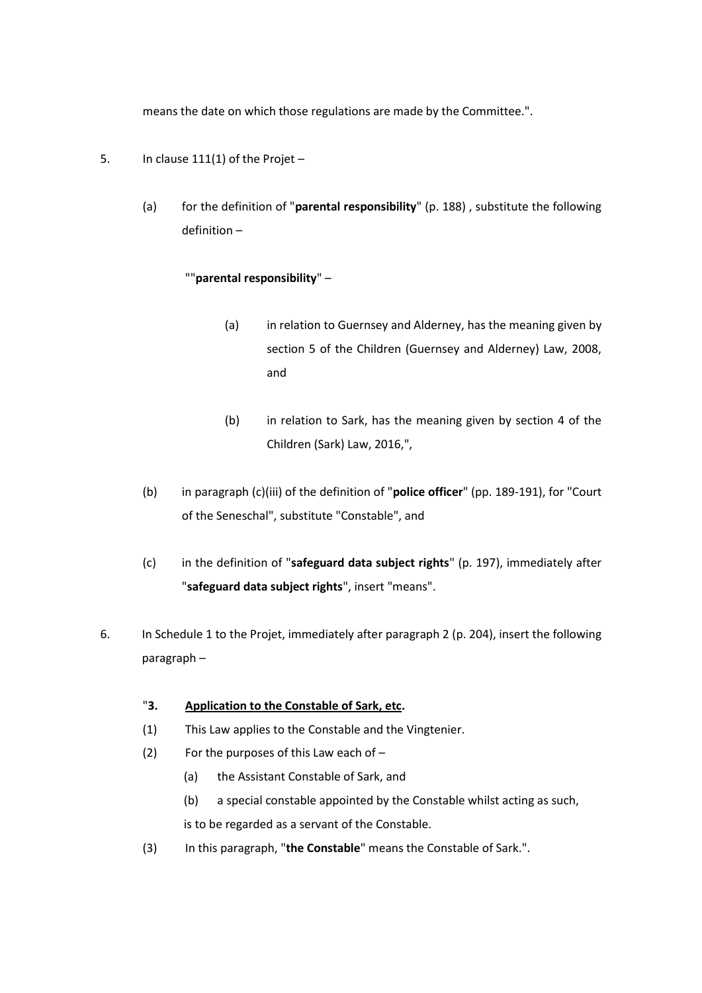means the date on which those regulations are made by the Committee.".

- 5. In clause 111(1) of the Projet
	- (a) for the definition of "**parental responsibility**" (p. 188) , substitute the following definition –

# ""**parental responsibility**" –

- (a) in relation to Guernsey and Alderney, has the meaning given by section 5 of the Children (Guernsey and Alderney) Law, 2008, and
- (b) in relation to Sark, has the meaning given by section 4 of the Children (Sark) Law, 2016,",
- (b) in paragraph (c)(iii) of the definition of "**police officer**" (pp. 189-191), for "Court of the Seneschal", substitute "Constable", and
- (c) in the definition of "**safeguard data subject rights**" (p. 197), immediately after "**safeguard data subject rights**", insert "means".
- 6. In Schedule 1 to the Projet, immediately after paragraph 2 (p. 204), insert the following paragraph –

# "**3. Application to the Constable of Sark, etc.**

- (1) This Law applies to the Constable and the Vingtenier.
- (2) For the purposes of this Law each of
	- (a) the Assistant Constable of Sark, and
	- (b) a special constable appointed by the Constable whilst acting as such, is to be regarded as a servant of the Constable.
- (3) In this paragraph, "**the Constable**" means the Constable of Sark.".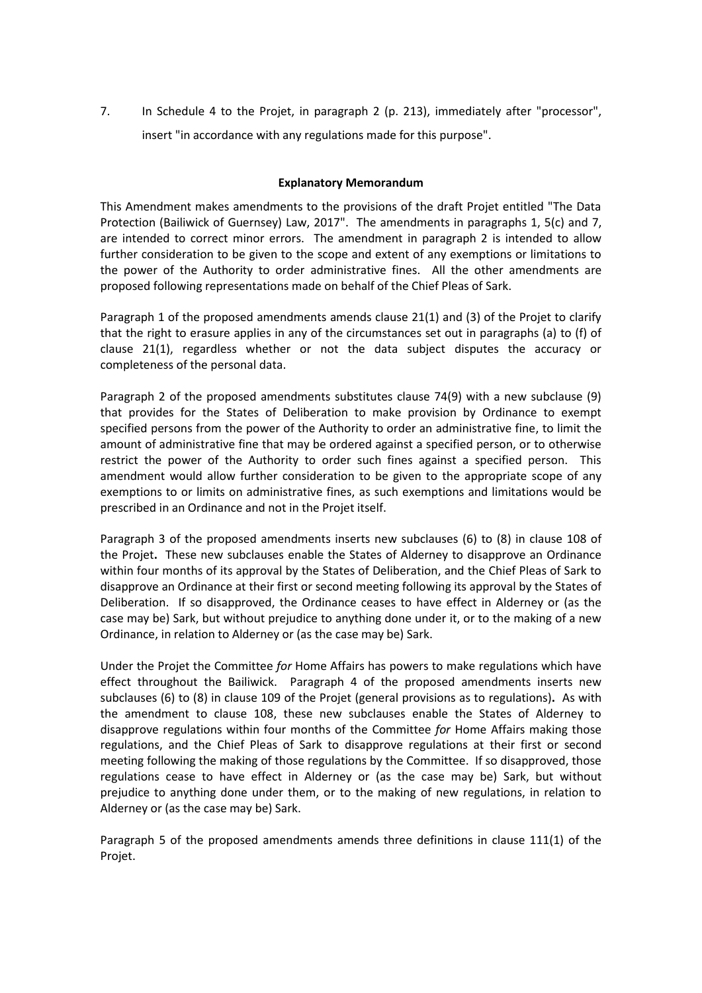7. In Schedule 4 to the Projet, in paragraph 2 (p. 213), immediately after "processor", insert "in accordance with any regulations made for this purpose".

### **Explanatory Memorandum**

This Amendment makes amendments to the provisions of the draft Projet entitled "The Data Protection (Bailiwick of Guernsey) Law, 2017". The amendments in paragraphs 1, 5(c) and 7, are intended to correct minor errors. The amendment in paragraph 2 is intended to allow further consideration to be given to the scope and extent of any exemptions or limitations to the power of the Authority to order administrative fines. All the other amendments are proposed following representations made on behalf of the Chief Pleas of Sark.

Paragraph 1 of the proposed amendments amends clause 21(1) and (3) of the Projet to clarify that the right to erasure applies in any of the circumstances set out in paragraphs (a) to (f) of clause 21(1), regardless whether or not the data subject disputes the accuracy or completeness of the personal data.

Paragraph 2 of the proposed amendments substitutes clause 74(9) with a new subclause (9) that provides for the States of Deliberation to make provision by Ordinance to exempt specified persons from the power of the Authority to order an administrative fine, to limit the amount of administrative fine that may be ordered against a specified person, or to otherwise restrict the power of the Authority to order such fines against a specified person. This amendment would allow further consideration to be given to the appropriate scope of any exemptions to or limits on administrative fines, as such exemptions and limitations would be prescribed in an Ordinance and not in the Projet itself.

Paragraph 3 of the proposed amendments inserts new subclauses (6) to (8) in clause 108 of the Projet**.** These new subclauses enable the States of Alderney to disapprove an Ordinance within four months of its approval by the States of Deliberation, and the Chief Pleas of Sark to disapprove an Ordinance at their first or second meeting following its approval by the States of Deliberation. If so disapproved, the Ordinance ceases to have effect in Alderney or (as the case may be) Sark, but without prejudice to anything done under it, or to the making of a new Ordinance, in relation to Alderney or (as the case may be) Sark.

Under the Projet the Committee *for* Home Affairs has powers to make regulations which have effect throughout the Bailiwick. Paragraph 4 of the proposed amendments inserts new subclauses (6) to (8) in clause 109 of the Projet (general provisions as to regulations)**.** As with the amendment to clause 108, these new subclauses enable the States of Alderney to disapprove regulations within four months of the Committee *for* Home Affairs making those regulations, and the Chief Pleas of Sark to disapprove regulations at their first or second meeting following the making of those regulations by the Committee. If so disapproved, those regulations cease to have effect in Alderney or (as the case may be) Sark, but without prejudice to anything done under them, or to the making of new regulations, in relation to Alderney or (as the case may be) Sark.

Paragraph 5 of the proposed amendments amends three definitions in clause 111(1) of the Projet.